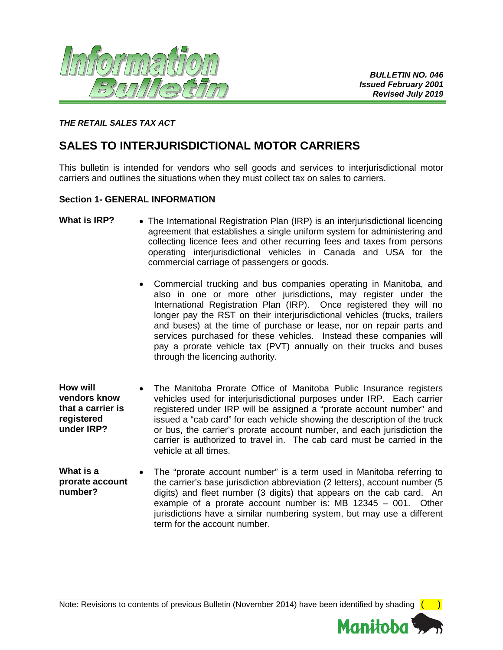

# *THE RETAIL SALES TAX ACT*

# **SALES TO INTERJURISDICTIONAL MOTOR CARRIERS**

This bulletin is intended for vendors who sell goods and services to interjurisdictional motor carriers and outlines the situations when they must collect tax on sales to carriers.

## **Section 1- GENERAL INFORMATION**

- What is IRP? The International Registration Plan (IRP) is an interjurisdictional licencing agreement that establishes a single uniform system for administering and collecting licence fees and other recurring fees and taxes from persons operating interjurisdictional vehicles in Canada and USA for the commercial carriage of passengers or goods.
	- Commercial trucking and bus companies operating in Manitoba, and also in one or more other jurisdictions, may register under the International Registration Plan (IRP). Once registered they will no longer pay the RST on their interjurisdictional vehicles (trucks, trailers and buses) at the time of purchase or lease, nor on repair parts and services purchased for these vehicles. Instead these companies will pay a prorate vehicle tax (PVT) annually on their trucks and buses through the licencing authority.
- **How will vendors know that a carrier is registered under IRP?** The Manitoba Prorate Office of Manitoba Public Insurance registers vehicles used for interjurisdictional purposes under IRP. Each carrier registered under IRP will be assigned a "prorate account number" and issued a "cab card" for each vehicle showing the description of the truck or bus, the carrier's prorate account number, and each jurisdiction the carrier is authorized to travel in. The cab card must be carried in the vehicle at all times.
- **What is a prorate account number?** • The "prorate account number" is a term used in Manitoba referring to the carrier's base jurisdiction abbreviation (2 letters), account number (5 digits) and fleet number (3 digits) that appears on the cab card. An example of a prorate account number is: MB 12345 – 001. Other jurisdictions have a similar numbering system, but may use a different term for the account number.

Note: Revisions to contents of previous Bulletin (November 2014) have been identified by shading  $($ 

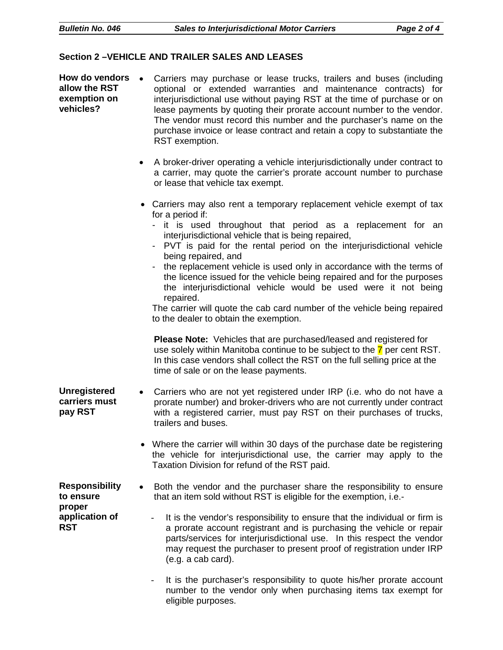# **Section 2 –VEHICLE AND TRAILER SALES AND LEASES**

| How do vendors<br>allow the RST<br>exemption on<br>vehicles?                 | Carriers may purchase or lease trucks, trailers and buses (including<br>optional or extended warranties and maintenance contracts) for<br>interjurisdictional use without paying RST at the time of purchase or on<br>lease payments by quoting their prorate account number to the vendor.<br>The vendor must record this number and the purchaser's name on the<br>purchase invoice or lease contract and retain a copy to substantiate the<br>RST exemption.                                                                                                                                                                                                         |
|------------------------------------------------------------------------------|-------------------------------------------------------------------------------------------------------------------------------------------------------------------------------------------------------------------------------------------------------------------------------------------------------------------------------------------------------------------------------------------------------------------------------------------------------------------------------------------------------------------------------------------------------------------------------------------------------------------------------------------------------------------------|
|                                                                              | A broker-driver operating a vehicle interjurisdictionally under contract to<br>a carrier, may quote the carrier's prorate account number to purchase<br>or lease that vehicle tax exempt.                                                                                                                                                                                                                                                                                                                                                                                                                                                                               |
|                                                                              | • Carriers may also rent a temporary replacement vehicle exempt of tax<br>for a period if:<br>- it is used throughout that period as a replacement for an<br>interjurisdictional vehicle that is being repaired,<br>PVT is paid for the rental period on the interjurisdictional vehicle<br>being repaired, and<br>the replacement vehicle is used only in accordance with the terms of<br>the licence issued for the vehicle being repaired and for the purposes<br>the interjurisdictional vehicle would be used were it not being<br>repaired.<br>The carrier will quote the cab card number of the vehicle being repaired<br>to the dealer to obtain the exemption. |
|                                                                              | <b>Please Note:</b> Vehicles that are purchased/leased and registered for<br>use solely within Manitoba continue to be subject to the 7 per cent RST.<br>In this case vendors shall collect the RST on the full selling price at the<br>time of sale or on the lease payments.                                                                                                                                                                                                                                                                                                                                                                                          |
| <b>Unregistered</b><br>carriers must<br>pay RST                              | Carriers who are not yet registered under IRP (i.e. who do not have a<br>$\bullet$<br>prorate number) and broker-drivers who are not currently under contract<br>with a registered carrier, must pay RST on their purchases of trucks,<br>trailers and buses.                                                                                                                                                                                                                                                                                                                                                                                                           |
|                                                                              | Where the carrier will within 30 days of the purchase date be registering<br>the vehicle for interjurisdictional use, the carrier may apply to the<br>Taxation Division for refund of the RST paid.                                                                                                                                                                                                                                                                                                                                                                                                                                                                     |
| <b>Responsibility</b><br>to ensure<br>proper<br>application of<br><b>RST</b> | Both the vendor and the purchaser share the responsibility to ensure<br>that an item sold without RST is eligible for the exemption, i.e.-                                                                                                                                                                                                                                                                                                                                                                                                                                                                                                                              |
|                                                                              | It is the vendor's responsibility to ensure that the individual or firm is<br>a prorate account registrant and is purchasing the vehicle or repair<br>parts/services for interjurisdictional use. In this respect the vendor<br>may request the purchaser to present proof of registration under IRP<br>(e.g. a cab card).                                                                                                                                                                                                                                                                                                                                              |
|                                                                              | It is the purchaser's responsibility to quote his/her prorate account<br>number to the vendor only when purchasing items tax exempt for<br>eligible purposes.                                                                                                                                                                                                                                                                                                                                                                                                                                                                                                           |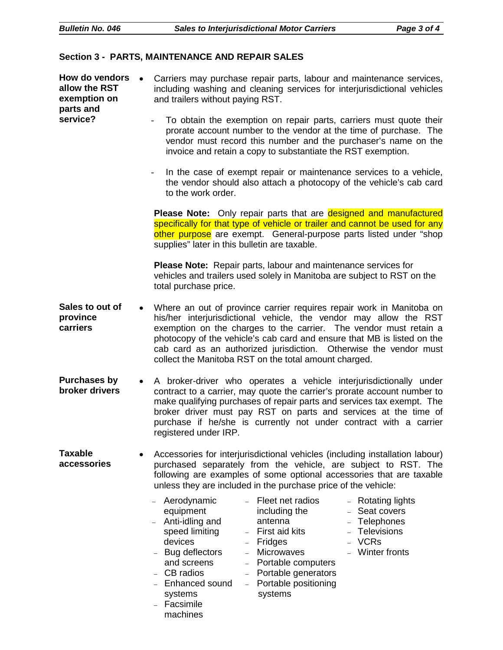#### **Section 3 - PARTS, MAINTENANCE AND REPAIR SALES**

| How do vendors<br>allow the RST<br>exemption on<br>parts and<br>service? | Carriers may purchase repair parts, labour and maintenance services,<br>$\bullet$<br>including washing and cleaning services for interjurisdictional vehicles<br>and trailers without paying RST.<br>To obtain the exemption on repair parts, carriers must quote their<br>prorate account number to the vendor at the time of purchase. The<br>vendor must record this number and the purchaser's name on the<br>invoice and retain a copy to substantiate the RST exemption.<br>In the case of exempt repair or maintenance services to a vehicle,<br>the vendor should also attach a photocopy of the vehicle's cab card<br>to the work order.<br>Please Note: Only repair parts that are designed and manufactured<br>specifically for that type of vehicle or trailer and cannot be used for any<br>other purpose are exempt. General-purpose parts listed under "shop<br>supplies" later in this bulletin are taxable. |
|--------------------------------------------------------------------------|------------------------------------------------------------------------------------------------------------------------------------------------------------------------------------------------------------------------------------------------------------------------------------------------------------------------------------------------------------------------------------------------------------------------------------------------------------------------------------------------------------------------------------------------------------------------------------------------------------------------------------------------------------------------------------------------------------------------------------------------------------------------------------------------------------------------------------------------------------------------------------------------------------------------------|
|                                                                          | Please Note: Repair parts, labour and maintenance services for<br>vehicles and trailers used solely in Manitoba are subject to RST on the<br>total purchase price.                                                                                                                                                                                                                                                                                                                                                                                                                                                                                                                                                                                                                                                                                                                                                           |
| Sales to out of<br>province<br>carriers                                  | Where an out of province carrier requires repair work in Manitoba on<br>his/her interjurisdictional vehicle, the vendor may allow the RST<br>exemption on the charges to the carrier. The vendor must retain a<br>photocopy of the vehicle's cab card and ensure that MB is listed on the<br>cab card as an authorized jurisdiction. Otherwise the vendor must<br>collect the Manitoba RST on the total amount charged.                                                                                                                                                                                                                                                                                                                                                                                                                                                                                                      |
| <b>Purchases by</b><br>broker drivers                                    | A broker-driver who operates a vehicle interjurisdictionally under<br>$\bullet$<br>contract to a carrier, may quote the carrier's prorate account number to<br>make qualifying purchases of repair parts and services tax exempt. The<br>broker driver must pay RST on parts and services at the time of<br>purchase if he/she is currently not under contract with a carrier<br>registered under IRP.                                                                                                                                                                                                                                                                                                                                                                                                                                                                                                                       |
| <b>Taxable</b><br>accessories                                            | Accessories for interjurisdictional vehicles (including installation labour)<br>purchased separately from the vehicle, are subject to RST. The<br>following are examples of some optional accessories that are taxable<br>unless they are included in the purchase price of the vehicle:                                                                                                                                                                                                                                                                                                                                                                                                                                                                                                                                                                                                                                     |
|                                                                          | - Fleet net radios<br>Aerodynamic<br>- Rotating lights<br>equipment<br>including the<br>Seat covers<br>Anti-idling and<br>Telephones<br>antenna<br>speed limiting<br>- Televisions<br>- First aid kits<br>- VCRs<br>devices<br>- Fridges<br>- Microwaves<br>- Winter fronts<br>Bug deflectors<br>and screens<br>- Portable computers<br>- CB radios<br>- Portable generators<br>- Portable positioning<br>Enhanced sound<br>systems<br>systems<br>Facsimile<br>machines                                                                                                                                                                                                                                                                                                                                                                                                                                                      |